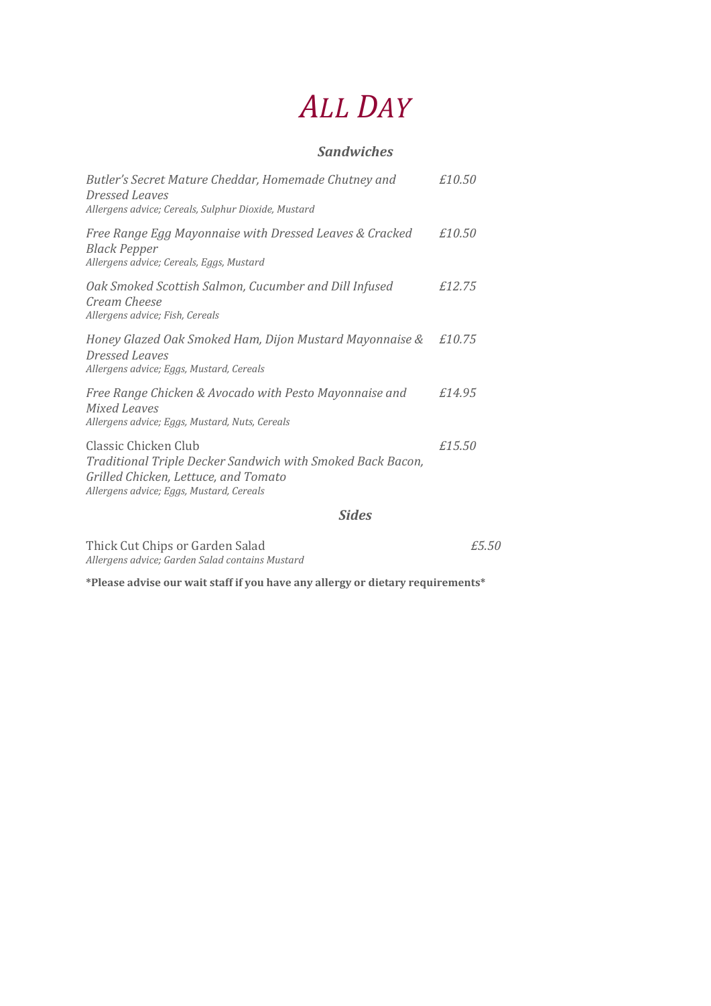# *ALL DAY*

#### *Sandwiches*

| Butler's Secret Mature Cheddar, Homemade Chutney and<br>Dressed Leaves<br>Allergens advice; Cereals, Sulphur Dioxide, Mustard                                          | £10.50 |
|------------------------------------------------------------------------------------------------------------------------------------------------------------------------|--------|
| Free Range Egg Mayonnaise with Dressed Leaves & Cracked<br><b>Black Pepper</b><br>Allergens advice; Cereals, Eggs, Mustard                                             | £10.50 |
| Oak Smoked Scottish Salmon, Cucumber and Dill Infused<br>Cream Cheese<br>Allergens advice; Fish, Cereals                                                               | £12.75 |
| Honey Glazed Oak Smoked Ham, Dijon Mustard Mayonnaise &<br><b>Dressed Leaves</b><br>Allergens advice; Eggs, Mustard, Cereals                                           | £10.75 |
| Free Range Chicken & Avocado with Pesto Mayonnaise and<br>Mixed Leaves<br>Allergens advice; Eggs, Mustard, Nuts, Cereals                                               | £14.95 |
| Classic Chicken Club<br>Traditional Triple Decker Sandwich with Smoked Back Bacon,<br>Grilled Chicken, Lettuce, and Tomato<br>Allergens advice; Eggs, Mustard, Cereals | £15.50 |

#### *Sides*

*£5.50*

| Thick Cut Chips or Garden Salad                 |  |
|-------------------------------------------------|--|
| Allergens advice; Garden Salad contains Mustard |  |

**\*Please advise our wait staff if you have any allergy or dietary requirements\***